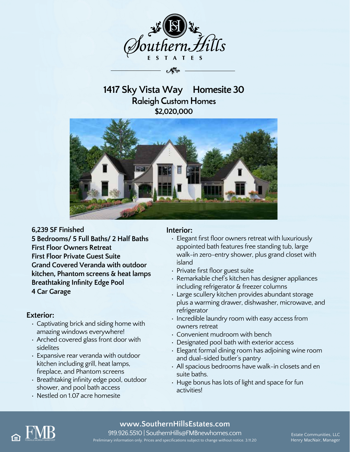

# **1417 Sky Vista Way Homesite 30 Raleigh Custom Homes \$2,020,000**



#### **6,239 SF Finished**

**5 Bedrooms/ 5 Full Baths/ 2 Half Baths First Floor Owners Retreat First Floor Private Guest Suite Grand Covered Veranda with outdoor kitchen, Phantom screens & heat lamps Breathtaking Infinity Edge Pool 4 Car Garage**

### **Exterior:**

- Captivating brick and siding home with amazing windows everywhere!
- Arched covered glass front door with sidelites
- Expansive rear veranda with outdoor kitchen including grill, heat lamps, fireplace, and Phantom screens
- Breathtaking infinity edge pool, outdoor shower, and pool bath access
- Nestled on 1.07 acre homesite

### **Interior:**

- Elegant first floor owners retreat with luxuriously appointed bath features free standing tub, large walk-in zero-entry shower, plus grand closet with island
- Private first floor guest suite
- Remarkable chef's kitchen has designer appliances including refrigerator & freezer columns
- Large scullery kitchen provides abundant storage plus a warming drawer, dishwasher, microwave, and refrigerator
- Incredible laundry room with easy access from owners retreat
- Convenient mudroom with bench
- Designated pool bath with exterior access
- Elegant formal dining room has adjoining wine room and dual-sided butler's pantry
- All spacious bedrooms have walk-in closets and en suite baths.
- Huge bonus has lots of light and space for fun activities!



## **www.SouthernHillsEstates.com**

919.926.5510 | SouthernHills@FMBnewhomes.com Estate Communities, LLC Preliminary information only. Prices and specifications subject to change without notice. 3.11.20 Henry MacNair, Manager